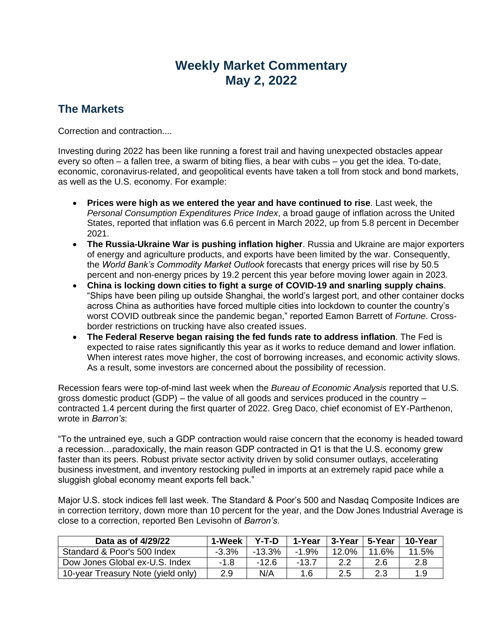## **Weekly Market Commentary May 2, 2022**

## **The Markets**

Correction and contraction....

Investing during 2022 has been like running a forest trail and having unexpected obstacles appear every so often – a fallen tree, a swarm of biting flies, a bear with cubs – you get the idea. To-date, economic, coronavirus-related, and geopolitical events have taken a toll from stock and bond markets, as well as the U.S. economy. For example:

- **Prices were high as we entered the year and have continued to rise**. Last week, the *Personal Consumption Expenditures Price Index*, a broad gauge of inflation across the United States, reported that inflation was 6.6 percent in March 2022, up from 5.8 percent in December 2021.
- **The Russia-Ukraine War is pushing inflation higher**. Russia and Ukraine are major exporters of energy and agriculture products, and exports have been limited by the war. Consequently, the *World Bank's Commodity Market Outlook* forecasts that energy prices will rise by 50.5 percent and non-energy prices by 19.2 percent this year before moving lower again in 2023.
- **China is locking down cities to fight a surge of COVID-19 and snarling supply chains**. "Ships have been piling up outside Shanghai, the world's largest port, and other container docks across China as authorities have forced multiple cities into lockdown to counter the country's worst COVID outbreak since the pandemic began," reported Eamon Barrett of *Fortune*. Crossborder restrictions on trucking have also created issues.
- **The Federal Reserve began raising the fed funds rate to address inflation**. The Fed is expected to raise rates significantly this year as it works to reduce demand and lower inflation. When interest rates move higher, the cost of borrowing increases, and economic activity slows. As a result, some investors are concerned about the possibility of recession.

Recession fears were top-of-mind last week when the *Bureau of Economic Analysis* reported that U.S. gross domestic product (GDP) – the value of all goods and services produced in the country – contracted 1.4 percent during the first quarter of 2022. Greg Daco, chief economist of EY-Parthenon, wrote in *Barron's*:

"To the untrained eye, such a GDP contraction would raise concern that the economy is headed toward a recession…paradoxically, the main reason GDP contracted in Q1 is that the U.S. economy grew faster than its peers. Robust private sector activity driven by solid consumer outlays, accelerating business investment, and inventory restocking pulled in imports at an extremely rapid pace while a sluggish global economy meant exports fell back."

Major U.S. stock indices fell last week. The Standard & Poor's 500 and Nasdaq Composite Indices are in correction territory, down more than 10 percent for the year, and the Dow Jones Industrial Average is close to a correction, reported Ben Levisohn of *Barron's*.

| Data as of 4/29/22                 | 1-Week  | Y-T-D  | 1-Year  | 3-Year∣5-Year |       | 10-Year |
|------------------------------------|---------|--------|---------|---------------|-------|---------|
| Standard & Poor's 500 Index        | $-3.3%$ | -13.3% | $-1.9%$ | $12.0\%$      | 11.6% | 11.5%   |
| Dow Jones Global ex-U.S. Index     | -1.8    | -12 6  | -13.7   |               |       | 2.8     |
| 10-year Treasury Note (yield only) | 2.9     | N/A    | 1.6     | 2.5           |       | 1.9     |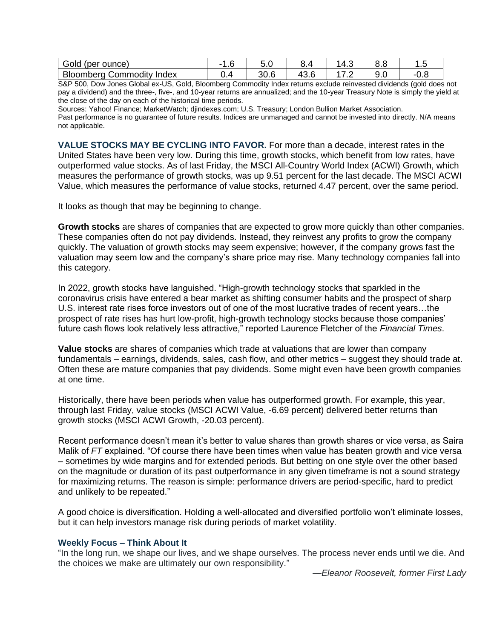| Gold<br>' (per ounce)                    | . . U | v.v          |                    | $\sqrt{2}$<br>−… | ∪.∪      | $\cdot \cdot \cdot$ |
|------------------------------------------|-------|--------------|--------------------|------------------|----------|---------------------|
| Bloomberg<br>Index<br><b>Commodity</b> ' | ◡.¬   | ኃ∩ ፎ<br>ას.ს | $\sqrt{2}$<br>ு பட | . .              | u<br>◡.◡ | - 1<br>v.v          |

S&P 500, Dow Jones Global ex-US, Gold, Bloomberg Commodity Index returns exclude reinvested dividends (gold does not pay a dividend) and the three-, five-, and 10-year returns are annualized; and the 10-year Treasury Note is simply the yield at the close of the day on each of the historical time periods.

Sources: Yahoo! Finance; MarketWatch; djindexes.com; U.S. Treasury; London Bullion Market Association.

Past performance is no guarantee of future results. Indices are unmanaged and cannot be invested into directly. N/A means not applicable.

**VALUE STOCKS MAY BE CYCLING INTO FAVOR.** For more than a decade, interest rates in the United States have been very low. During this time, growth stocks, which benefit from low rates, have outperformed value stocks. As of last Friday, the MSCI All-Country World Index (ACWI) Growth, which measures the performance of growth stocks, was up 9.51 percent for the last decade. The MSCI ACWI Value, which measures the performance of value stocks, returned 4.47 percent, over the same period.

It looks as though that may be beginning to change.

**Growth stocks** are shares of companies that are expected to grow more quickly than other companies. These companies often do not pay dividends. Instead, they reinvest any profits to grow the company quickly. The valuation of growth stocks may seem expensive; however, if the company grows fast the valuation may seem low and the company's share price may rise. Many technology companies fall into this category.

In 2022, growth stocks have languished. "High-growth technology stocks that sparkled in the coronavirus crisis have entered a bear market as shifting consumer habits and the prospect of sharp U.S. interest rate rises force investors out of one of the most lucrative trades of recent years…the prospect of rate rises has hurt low-profit, high-growth technology stocks because those companies' future cash flows look relatively less attractive," reported Laurence Fletcher of the *Financial Times*.

**Value stocks** are shares of companies which trade at valuations that are lower than company fundamentals – earnings, dividends, sales, cash flow, and other metrics – suggest they should trade at. Often these are mature companies that pay dividends. Some might even have been growth companies at one time.

Historically, there have been periods when value has outperformed growth. For example, this year, through last Friday, value stocks (MSCI ACWI Value, -6.69 percent) delivered better returns than growth stocks (MSCI ACWI Growth, -20.03 percent).

Recent performance doesn't mean it's better to value shares than growth shares or vice versa, as Saira Malik of *FT* explained. "Of course there have been times when value has beaten growth and vice versa – sometimes by wide margins and for extended periods. But betting on one style over the other based on the magnitude or duration of its past outperformance in any given timeframe is not a sound strategy for maximizing returns. The reason is simple: performance drivers are period-specific, hard to predict and unlikely to be repeated."

A good choice is diversification. Holding a well-allocated and diversified portfolio won't eliminate losses, but it can help investors manage risk during periods of market volatility.

## **Weekly Focus – Think About It**

"In the long run, we shape our lives, and we shape ourselves. The process never ends until we die. And the choices we make are ultimately our own responsibility."

*—Eleanor Roosevelt, former First Lady*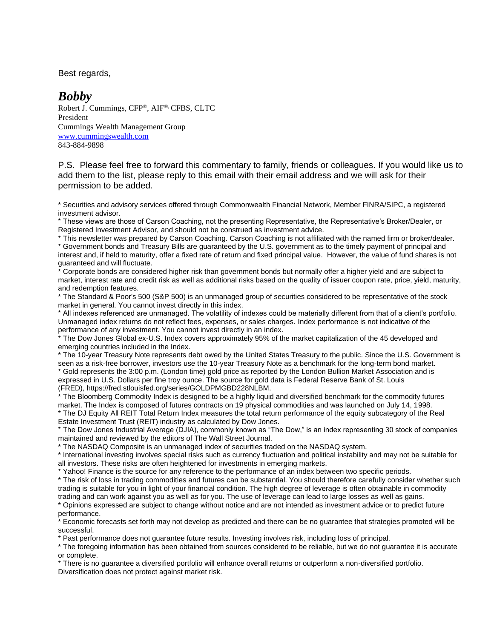Best regards,

## *Bobby*

Robert J. Cummings, CFP®, AIF®, CFBS, CLTC President Cummings Wealth Management Group [www.cummingswealth.com](http://www.cummingswealth.com/) 843-884-9898

P.S. Please feel free to forward this commentary to family, friends or colleagues. If you would like us to add them to the list, please reply to this email with their email address and we will ask for their permission to be added.

\* Securities and advisory services offered through Commonwealth Financial Network, Member FINRA/SIPC, a registered investment advisor.

\* These views are those of Carson Coaching, not the presenting Representative, the Representative's Broker/Dealer, or Registered Investment Advisor, and should not be construed as investment advice.

\* This newsletter was prepared by Carson Coaching. Carson Coaching is not affiliated with the named firm or broker/dealer. \* Government bonds and Treasury Bills are guaranteed by the U.S. government as to the timely payment of principal and interest and, if held to maturity, offer a fixed rate of return and fixed principal value. However, the value of fund shares is not guaranteed and will fluctuate.

Corporate bonds are considered higher risk than government bonds but normally offer a higher yield and are subject to market, interest rate and credit risk as well as additional risks based on the quality of issuer coupon rate, price, yield, maturity, and redemption features.

\* The Standard & Poor's 500 (S&P 500) is an unmanaged group of securities considered to be representative of the stock market in general. You cannot invest directly in this index.

\* All indexes referenced are unmanaged. The volatility of indexes could be materially different from that of a client's portfolio. Unmanaged index returns do not reflect fees, expenses, or sales charges. Index performance is not indicative of the performance of any investment. You cannot invest directly in an index.

\* The Dow Jones Global ex-U.S. Index covers approximately 95% of the market capitalization of the 45 developed and emerging countries included in the Index.

\* The 10-year Treasury Note represents debt owed by the United States Treasury to the public. Since the U.S. Government is seen as a risk-free borrower, investors use the 10-year Treasury Note as a benchmark for the long-term bond market. \* Gold represents the 3:00 p.m. (London time) gold price as reported by the London Bullion Market Association and is expressed in U.S. Dollars per fine troy ounce. The source for gold data is Federal Reserve Bank of St. Louis (FRED), https://fred.stlouisfed.org/series/GOLDPMGBD228NLBM.

\* The Bloomberg Commodity Index is designed to be a highly liquid and diversified benchmark for the commodity futures market. The Index is composed of futures contracts on 19 physical commodities and was launched on July 14, 1998. \* The DJ Equity All REIT Total Return Index measures the total return performance of the equity subcategory of the Real Estate Investment Trust (REIT) industry as calculated by Dow Jones.

\* The Dow Jones Industrial Average (DJIA), commonly known as "The Dow," is an index representing 30 stock of companies maintained and reviewed by the editors of The Wall Street Journal.

\* The NASDAQ Composite is an unmanaged index of securities traded on the NASDAQ system.

\* International investing involves special risks such as currency fluctuation and political instability and may not be suitable for all investors. These risks are often heightened for investments in emerging markets.

\* Yahoo! Finance is the source for any reference to the performance of an index between two specific periods.

\* The risk of loss in trading commodities and futures can be substantial. You should therefore carefully consider whether such trading is suitable for you in light of your financial condition. The high degree of leverage is often obtainable in commodity trading and can work against you as well as for you. The use of leverage can lead to large losses as well as gains.

\* Opinions expressed are subject to change without notice and are not intended as investment advice or to predict future performance.

\* Economic forecasts set forth may not develop as predicted and there can be no guarantee that strategies promoted will be successful.

\* Past performance does not guarantee future results. Investing involves risk, including loss of principal.

\* The foregoing information has been obtained from sources considered to be reliable, but we do not guarantee it is accurate or complete.

\* There is no guarantee a diversified portfolio will enhance overall returns or outperform a non-diversified portfolio. Diversification does not protect against market risk.